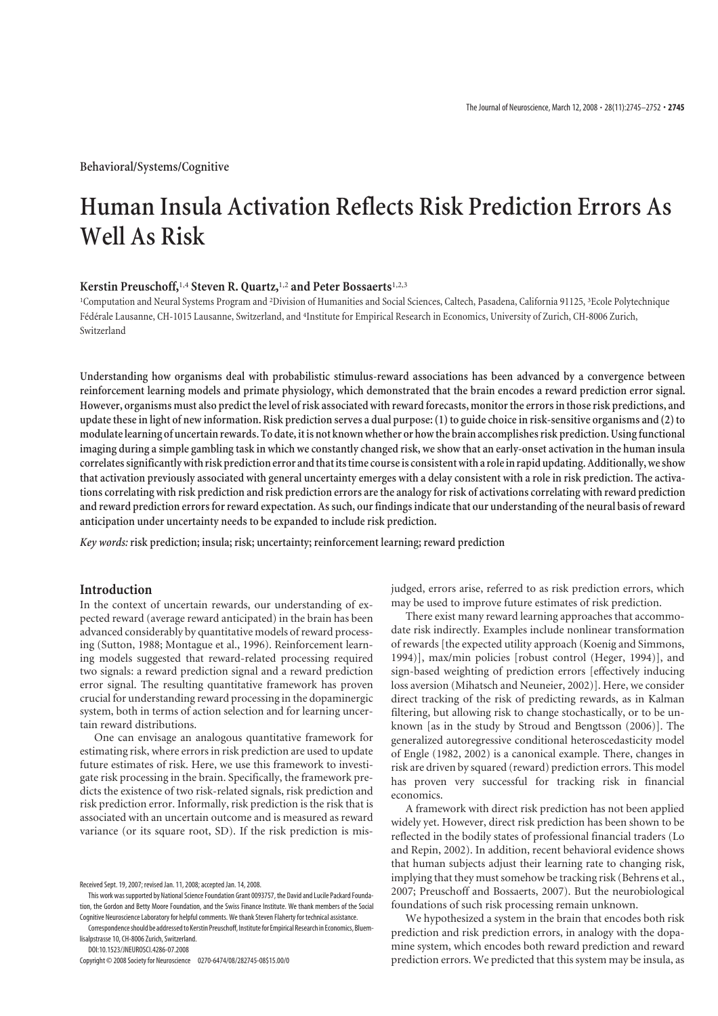**Behavioral/Systems/Cognitive**

# **Human Insula Activation Reflects Risk Prediction Errors As Well As Risk**

## **Kerstin Preuschoff,**1,4 **Steven R. Quartz,**1,2 **and Peter Bossaerts**1,2,3

<sup>1</sup>Computation and Neural Systems Program and <sup>2</sup>Division of Humanities and Social Sciences, Caltech, Pasadena, California 91125, <sup>3</sup>Ecole Polytechnique Fédérale Lausanne, CH-1015 Lausanne, Switzerland, and <sup>4</sup>Institute for Empirical Research in Economics, University of Zurich, CH-8006 Zurich, Switzerland

**Understanding how organisms deal with probabilistic stimulus-reward associations has been advanced by a convergence between reinforcement learning models and primate physiology, which demonstrated that the brain encodes a reward prediction error signal. However, organisms must also predict the level of risk associated with reward forecasts, monitor the errors in those risk predictions, and update these in light of new information. Risk prediction serves a dual purpose: (1) to guide choice in risk-sensitive organisms and (2) to modulate learning of uncertain rewards. To date, it is not known whether or howthe brain accomplishes risk prediction. Usingfunctional imaging during a simple gambling task in which we constantly changed risk, we show that an early-onset activation in the human insula correlates significantly with risk prediction error andthatitstime courseis consistent with a rolein rapid updating. Additionally, we show that activation previously associated with general uncertainty emerges with a delay consistent with a role in risk prediction. The activations correlating with risk prediction and risk prediction errors are the analogy for risk of activations correlating with reward prediction and reward prediction errors for reward expectation. As such, our findings indicate that our understanding of the neural basis of reward anticipation under uncertainty needs to be expanded to include risk prediction.**

*Key words:* **risk prediction; insula; risk; uncertainty; reinforcement learning; reward prediction**

# **Introduction**

In the context of uncertain rewards, our understanding of expected reward (average reward anticipated) in the brain has been advanced considerably by quantitative models of reward processing (Sutton, 1988; Montague et al., 1996). Reinforcement learning models suggested that reward-related processing required two signals: a reward prediction signal and a reward prediction error signal. The resulting quantitative framework has proven crucial for understanding reward processing in the dopaminergic system, both in terms of action selection and for learning uncertain reward distributions.

One can envisage an analogous quantitative framework for estimating risk, where errors in risk prediction are used to update future estimates of risk. Here, we use this framework to investigate risk processing in the brain. Specifically, the framework predicts the existence of two risk-related signals, risk prediction and risk prediction error. Informally, risk prediction is the risk that is associated with an uncertain outcome and is measured as reward variance (or its square root, SD). If the risk prediction is mis-

DOI:10.1523/JNEUROSCI.4286-07.2008

Copyright © 2008 Society for Neuroscience 0270-6474/08/282745-08\$15.00/0

judged, errors arise, referred to as risk prediction errors, which may be used to improve future estimates of risk prediction.

There exist many reward learning approaches that accommodate risk indirectly. Examples include nonlinear transformation of rewards [the expected utility approach (Koenig and Simmons, 1994)], max/min policies [robust control (Heger, 1994)], and sign-based weighting of prediction errors [effectively inducing loss aversion (Mihatsch and Neuneier, 2002)]. Here, we consider direct tracking of the risk of predicting rewards, as in Kalman filtering, but allowing risk to change stochastically, or to be unknown [as in the study by Stroud and Bengtsson (2006)]. The generalized autoregressive conditional heteroscedasticity model of Engle (1982, 2002) is a canonical example. There, changes in risk are driven by squared (reward) prediction errors. This model has proven very successful for tracking risk in financial economics.

A framework with direct risk prediction has not been applied widely yet. However, direct risk prediction has been shown to be reflected in the bodily states of professional financial traders (Lo and Repin, 2002). In addition, recent behavioral evidence shows that human subjects adjust their learning rate to changing risk, implying that they must somehow be tracking risk (Behrens et al., 2007; Preuschoff and Bossaerts, 2007). But the neurobiological foundations of such risk processing remain unknown.

We hypothesized a system in the brain that encodes both risk prediction and risk prediction errors, in analogy with the dopamine system, which encodes both reward prediction and reward prediction errors. We predicted that this system may be insula, as

Received Sept. 19, 2007; revised Jan. 11, 2008; accepted Jan. 14, 2008.

This work was supported by National Science Foundation Grant 0093757, the David and Lucile Packard Foundation, the Gordon and Betty Moore Foundation, and the Swiss Finance Institute. We thank members of the Social Cognitive Neuroscience Laboratory for helpful comments. We thank Steven Flaherty for technical assistance.

Correspondence should be addressed to Kerstin Preuschoff, Institute for Empirical Research in Economics, Bluemlisalpstrasse 10, CH-8006 Zurich, Switzerland.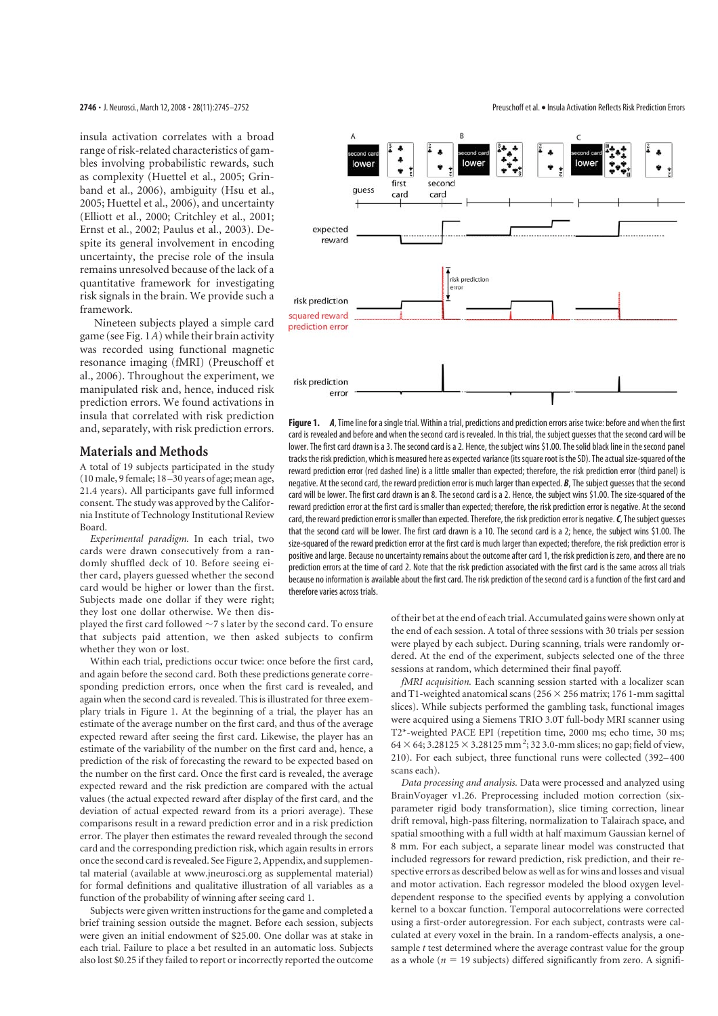insula activation correlates with a broad range of risk-related characteristics of gambles involving probabilistic rewards, such as complexity (Huettel et al., 2005; Grinband et al., 2006), ambiguity (Hsu et al., 2005; Huettel et al., 2006), and uncertainty (Elliott et al., 2000; Critchley et al., 2001; Ernst et al., 2002; Paulus et al., 2003). Despite its general involvement in encoding uncertainty, the precise role of the insula remains unresolved because of the lack of a quantitative framework for investigating risk signals in the brain. We provide such a framework.

Nineteen subjects played a simple card game (see Fig. 1*A*) while their brain activity was recorded using functional magnetic resonance imaging (fMRI) (Preuschoff et al., 2006). Throughout the experiment, we manipulated risk and, hence, induced risk prediction errors. We found activations in insula that correlated with risk prediction and, separately, with risk prediction errors.

#### **Materials and Methods**

A total of 19 subjects participated in the study (10 male, 9 female; 18 –30 years of age; mean age, 21.4 years). All participants gave full informed consent. The study was approved by the California Institute of Technology Institutional Review Board.

*Experimental paradigm.* In each trial, two cards were drawn consecutively from a randomly shuffled deck of 10. Before seeing either card, players guessed whether the second card would be higher or lower than the first. Subjects made one dollar if they were right; they lost one dollar otherwise. We then dis-

played the first card followed  ${\sim}7$  s later by the second card. To ensure that subjects paid attention, we then asked subjects to confirm whether they won or lost.

Within each trial, predictions occur twice: once before the first card, and again before the second card. Both these predictions generate corresponding prediction errors, once when the first card is revealed, and again when the second card is revealed. This is illustrated for three exemplary trials in Figure 1. At the beginning of a trial, the player has an estimate of the average number on the first card, and thus of the average expected reward after seeing the first card. Likewise, the player has an estimate of the variability of the number on the first card and, hence, a prediction of the risk of forecasting the reward to be expected based on the number on the first card. Once the first card is revealed, the average expected reward and the risk prediction are compared with the actual values (the actual expected reward after display of the first card, and the deviation of actual expected reward from its a priori average). These comparisons result in a reward prediction error and in a risk prediction error. The player then estimates the reward revealed through the second card and the corresponding prediction risk, which again results in errors once the second card is revealed. See Figure 2, Appendix, and supplemental material (available at www.jneurosci.org as supplemental material) for formal definitions and qualitative illustration of all variables as a function of the probability of winning after seeing card 1.

Subjects were given written instructions for the game and completed a brief training session outside the magnet. Before each session, subjects were given an initial endowment of \$25.00. One dollar was at stake in each trial. Failure to place a bet resulted in an automatic loss. Subjects also lost \$0.25 if they failed to report or incorrectly reported the outcome

**2746 •** J. Neurosci., March 12, 2008 • 28(11):2745–2752 **Preuschoff et al. ●** Insula Activation Reflects Risk Prediction Errors



**Figure 1.** *A*, Time line for a single trial. Within a trial, predictions and prediction errors arise twice: before and when the first card is revealed and before and when the second card is revealed. In this trial, the subject guesses that the second card will be lower. The first card drawn is a 3. The second card is a 2. Hence, the subject wins \$1.00. The solid black line in the second panel tracks the risk prediction, which is measured here as expected variance (its square root is the SD). The actual size-squared of the reward prediction error (red dashed line) is a little smaller than expected; therefore, the risk prediction error (third panel) is negative. At the second card, the reward prediction error is much larger than expected. *B*, The subject guesses that the second card will be lower. The first card drawn is an 8. The second card is a 2. Hence, the subject wins \$1.00. The size-squared of the reward prediction error at the first card is smaller than expected; therefore, the risk prediction error is negative. At the second card, the reward prediction error is smaller than expected. Therefore, the risk prediction error is negative.  $C$ , The subject quesses that the second card will be lower. The first card drawn is a 10. The second card is a 2; hence, the subject wins \$1.00. The size-squared of the reward prediction error at the first card is much larger than expected; therefore, the risk prediction error is positive and large. Because no uncertainty remains about the outcome after card 1, the risk prediction is zero, and there are no prediction errors at the time of card 2. Note that the risk prediction associated with the first card is the same across all trials because no information is available about the first card. The risk prediction of the second card is a function of the first card and therefore varies across trials.

> of their bet at the end of each trial. Accumulated gains were shown only at the end of each session. A total of three sessions with 30 trials per session were played by each subject. During scanning, trials were randomly ordered. At the end of the experiment, subjects selected one of the three sessions at random, which determined their final payoff.

> *fMRI acquisition.* Each scanning session started with a localizer scan and T1-weighted anatomical scans ( $256 \times 256$  matrix; 176 1-mm sagittal slices). While subjects performed the gambling task, functional images were acquired using a Siemens TRIO 3.0T full-body MRI scanner using T2\*-weighted PACE EPI (repetition time, 2000 ms; echo time, 30 ms;  $64 \times 64$ ; 3.28125  $\times$  3.28125 mm<sup>2</sup>; 32 3.0-mm slices; no gap; field of view, 210). For each subject, three functional runs were collected (392– 400 scans each).

> *Data processing and analysis.* Data were processed and analyzed using BrainVoyager v1.26. Preprocessing included motion correction (sixparameter rigid body transformation), slice timing correction, linear drift removal, high-pass filtering, normalization to Talairach space, and spatial smoothing with a full width at half maximum Gaussian kernel of 8 mm. For each subject, a separate linear model was constructed that included regressors for reward prediction, risk prediction, and their respective errors as described below as well as for wins and losses and visual and motor activation. Each regressor modeled the blood oxygen leveldependent response to the specified events by applying a convolution kernel to a boxcar function. Temporal autocorrelations were corrected using a first-order autoregression. For each subject, contrasts were calculated at every voxel in the brain. In a random-effects analysis, a onesample *t* test determined where the average contrast value for the group as a whole ( $n = 19$  subjects) differed significantly from zero. A signifi-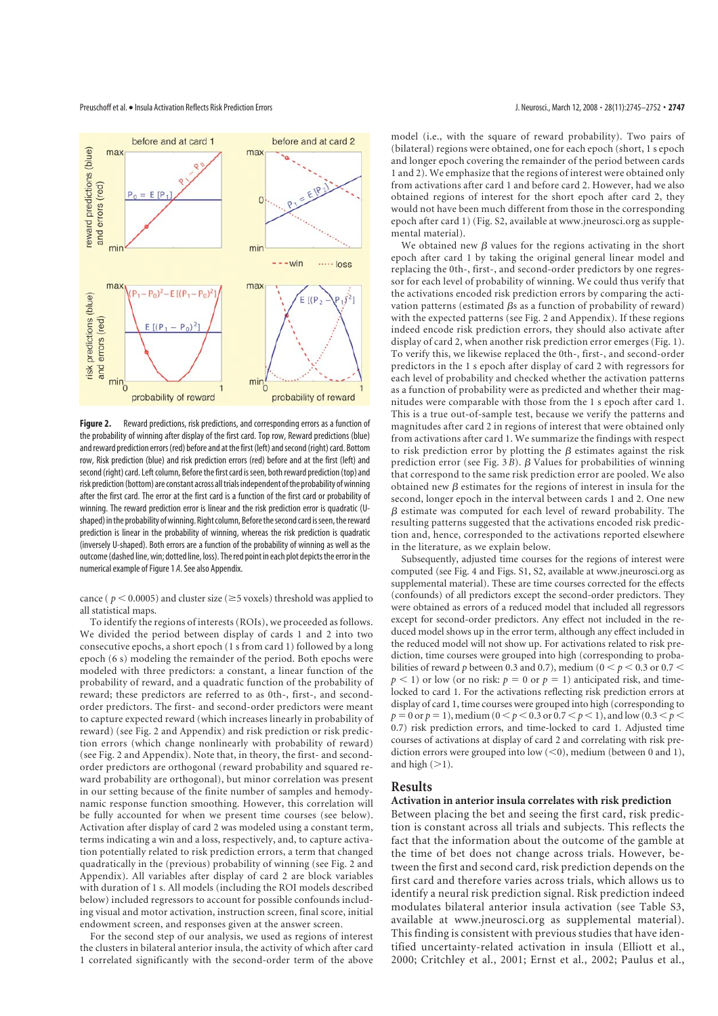

**Figure 2.** Reward predictions, risk predictions, and corresponding errors as a function of the probability of winning after display of the first card. Top row, Reward predictions (blue) and reward prediction errors (red) before and at the first (left) and second (right) card. Bottom row, Risk prediction (blue) and risk prediction errors (red) before and at the first (left) and second (right) card. Left column, Before the first card is seen, both reward prediction (top) and risk prediction (bottom) are constant across all trials independent of the probability of winning after the first card. The error at the first card is a function of the first card or probability of winning. The reward prediction error is linear and the risk prediction error is quadratic (Ushaped) in the probability of winning. Right column, Before the second card is seen, the reward prediction is linear in the probability of winning, whereas the risk prediction is quadratic (inversely U-shaped). Both errors are a function of the probability of winning as well as the outcome (dashed line, win; dotted line, loss). The red point in each plot depicts the error in the numerical example of Figure 1 A. See also Appendix.

cance ( $p < 0.0005$ ) and cluster size ( $\geq$ 5 voxels) threshold was applied to all statistical maps.

To identify the regions of interests (ROIs), we proceeded as follows. We divided the period between display of cards 1 and 2 into two consecutive epochs, a short epoch (1 s from card 1) followed by a long epoch (6 s) modeling the remainder of the period. Both epochs were modeled with three predictors: a constant, a linear function of the probability of reward, and a quadratic function of the probability of reward; these predictors are referred to as 0th-, first-, and secondorder predictors. The first- and second-order predictors were meant to capture expected reward (which increases linearly in probability of reward) (see Fig. 2 and Appendix) and risk prediction or risk prediction errors (which change nonlinearly with probability of reward) (see Fig. 2 and Appendix). Note that, in theory, the first- and secondorder predictors are orthogonal (reward probability and squared reward probability are orthogonal), but minor correlation was present in our setting because of the finite number of samples and hemodynamic response function smoothing. However, this correlation will be fully accounted for when we present time courses (see below). Activation after display of card 2 was modeled using a constant term, terms indicating a win and a loss, respectively, and, to capture activation potentially related to risk prediction errors, a term that changed quadratically in the (previous) probability of winning (see Fig. 2 and Appendix). All variables after display of card 2 are block variables with duration of 1 s. All models (including the ROI models described below) included regressors to account for possible confounds including visual and motor activation, instruction screen, final score, initial endowment screen, and responses given at the answer screen.

For the second step of our analysis, we used as regions of interest the clusters in bilateral anterior insula, the activity of which after card 1 correlated significantly with the second-order term of the above

model (i.e., with the square of reward probability). Two pairs of (bilateral) regions were obtained, one for each epoch (short, 1 s epoch and longer epoch covering the remainder of the period between cards 1 and 2). We emphasize that the regions of interest were obtained only from activations after card 1 and before card 2. However, had we also obtained regions of interest for the short epoch after card 2, they would not have been much different from those in the corresponding epoch after card 1) (Fig. S2, available at www.jneurosci.org as supplemental material).

We obtained new  $\beta$  values for the regions activating in the short epoch after card 1 by taking the original general linear model and replacing the 0th-, first-, and second-order predictors by one regressor for each level of probability of winning. We could thus verify that the activations encoded risk prediction errors by comparing the activation patterns (estimated  $\beta$ s as a function of probability of reward) with the expected patterns (see Fig. 2 and Appendix). If these regions indeed encode risk prediction errors, they should also activate after display of card 2, when another risk prediction error emerges (Fig. 1). To verify this, we likewise replaced the 0th-, first-, and second-order predictors in the 1 s epoch after display of card 2 with regressors for each level of probability and checked whether the activation patterns as a function of probability were as predicted and whether their magnitudes were comparable with those from the 1 s epoch after card 1. This is a true out-of-sample test, because we verify the patterns and magnitudes after card 2 in regions of interest that were obtained only from activations after card 1. We summarize the findings with respect to risk prediction error by plotting the  $\beta$  estimates against the risk prediction error (see Fig.  $3B$ ).  $\beta$  Values for probabilities of winning that correspond to the same risk prediction error are pooled. We also obtained new  $\beta$  estimates for the regions of interest in insula for the second, longer epoch in the interval between cards 1 and 2. One new  $\beta$  estimate was computed for each level of reward probability. The resulting patterns suggested that the activations encoded risk prediction and, hence, corresponded to the activations reported elsewhere in the literature, as we explain below.

Subsequently, adjusted time courses for the regions of interest were computed (see Fig. 4 and Figs. S1, S2, available at www.jneurosci.org as supplemental material). These are time courses corrected for the effects (confounds) of all predictors except the second-order predictors. They were obtained as errors of a reduced model that included all regressors except for second-order predictors. Any effect not included in the reduced model shows up in the error term, although any effect included in the reduced model will not show up. For activations related to risk prediction, time courses were grouped into high (corresponding to probabilities of reward *p* between 0.3 and 0.7), medium ( $0 \le p \le 0.3$  or 0.7  $\le$  $p < 1$ ) or low (or no risk:  $p = 0$  or  $p = 1$ ) anticipated risk, and timelocked to card 1. For the activations reflecting risk prediction errors at display of card 1, time courses were grouped into high (corresponding to  $p = 0$  or  $p = 1$ ), medium ( $0 < p < 0.3$  or  $0.7 < p < 1$ ), and low ( $0.3 < p <$ 0.7) risk prediction errors, and time-locked to card 1. Adjusted time courses of activations at display of card 2 and correlating with risk prediction errors were grouped into low  $(< 0$ ), medium (between 0 and 1), and high  $(>1)$ .

#### **Results**

#### **Activation in anterior insula correlates with risk prediction**

Between placing the bet and seeing the first card, risk prediction is constant across all trials and subjects. This reflects the fact that the information about the outcome of the gamble at the time of bet does not change across trials. However, between the first and second card, risk prediction depends on the first card and therefore varies across trials, which allows us to identify a neural risk prediction signal. Risk prediction indeed modulates bilateral anterior insula activation (see Table S3, available at www.jneurosci.org as supplemental material). This finding is consistent with previous studies that have identified uncertainty-related activation in insula (Elliott et al., 2000; Critchley et al., 2001; Ernst et al., 2002; Paulus et al.,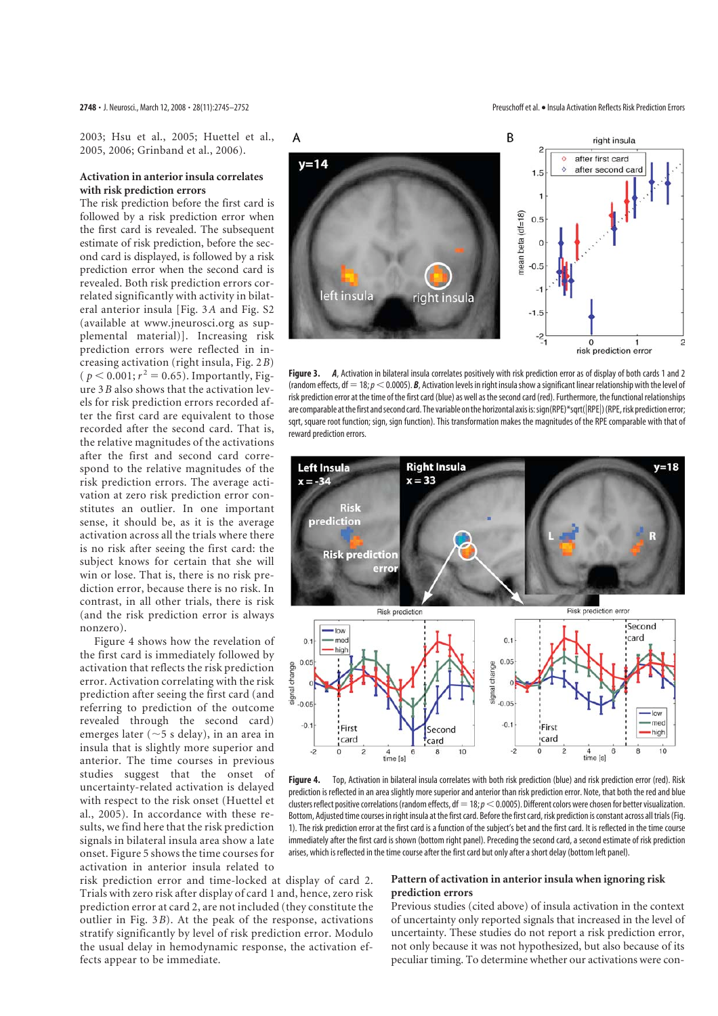**2748 •** J. Neurosci., March 12, 2008 • 28(11):2745–2752 **Preuschoff et al. ●** Insula Activation Reflects Risk Prediction Errors

2003; Hsu et al., 2005; Huettel et al., 2005, 2006; Grinband et al., 2006).

# **Activation in anterior insula correlates with risk prediction errors**

The risk prediction before the first card is followed by a risk prediction error when the first card is revealed. The subsequent estimate of risk prediction, before the second card is displayed, is followed by a risk prediction error when the second card is revealed. Both risk prediction errors correlated significantly with activity in bilateral anterior insula [Fig. 3*A* and Fig. S2 (available at www.jneurosci.org as supplemental material)]. Increasing risk prediction errors were reflected in increasing activation (right insula, Fig. 2*B*)  $(p < 0.001; r^2 = 0.65)$ . Importantly, Figure 3*B* also shows that the activation levels for risk prediction errors recorded after the first card are equivalent to those recorded after the second card. That is, the relative magnitudes of the activations after the first and second card correspond to the relative magnitudes of the risk prediction errors. The average activation at zero risk prediction error constitutes an outlier. In one important sense, it should be, as it is the average activation across all the trials where there is no risk after seeing the first card: the subject knows for certain that she will win or lose. That is, there is no risk prediction error, because there is no risk. In contrast, in all other trials, there is risk (and the risk prediction error is always nonzero).

Figure 4 shows how the revelation of the first card is immediately followed by activation that reflects the risk prediction error. Activation correlating with the risk prediction after seeing the first card (and referring to prediction of the outcome revealed through the second card) emerges later ( $\sim$ 5 s delay), in an area in insula that is slightly more superior and anterior. The time courses in previous studies suggest that the onset of uncertainty-related activation is delayed with respect to the risk onset (Huettel et al., 2005). In accordance with these results, we find here that the risk prediction signals in bilateral insula area show a late onset. Figure 5 shows the time courses for activation in anterior insula related to

A



**Figure 3.** *A*, Activation in bilateral insula correlates positively with risk prediction error as of display of both cards 1 and 2 (random effects,  $df = 18$ ;  $p < 0.0005$ ). *B*, Activation levels in right insula show a significant linear relationship with the level of risk prediction error at the time of the first card (blue) as well as thesecond card (red). Furthermore, the functional relationships are comparable at the first and second card. The variable on the horizontal axis is: sign(RPE)\*sqrt(|RPE|) (RPE, risk prediction error; sqrt, square root function; sign, sign function). This transformation makes the magnitudes of the RPE comparable with that of reward prediction errors.



**Figure 4.** Top, Activation in bilateral insula correlates with both risk prediction (blue) and risk prediction error (red). Risk prediction is reflected in an area slightly more superior and anterior than risk prediction error. Note, that both the red and blue clusters reflect positive correlations (random effects,  $df = 18; p \le 0.0005$ ). Different colors were chosen for better visualization. Bottom, Adjusted time courses in right insula at the first card. Before the first card, risk prediction is constant across all trials (Fig. 1). The risk prediction error at the first card is a function of the subject's bet and the first card. It is reflected in the time course immediately after the first card is shown (bottom right panel). Preceding the second card, a second estimate of risk prediction arises, which is reflected in the time course after the first card but only after a short delay (bottom left panel).

risk prediction error and time-locked at display of card 2. Trials with zero risk after display of card 1 and, hence, zero risk prediction error at card 2, are not included (they constitute the outlier in Fig. 3*B*). At the peak of the response, activations stratify significantly by level of risk prediction error. Modulo the usual delay in hemodynamic response, the activation effects appear to be immediate.

# **Pattern of activation in anterior insula when ignoring risk prediction errors**

Previous studies (cited above) of insula activation in the context of uncertainty only reported signals that increased in the level of uncertainty. These studies do not report a risk prediction error, not only because it was not hypothesized, but also because of its peculiar timing. To determine whether our activations were con-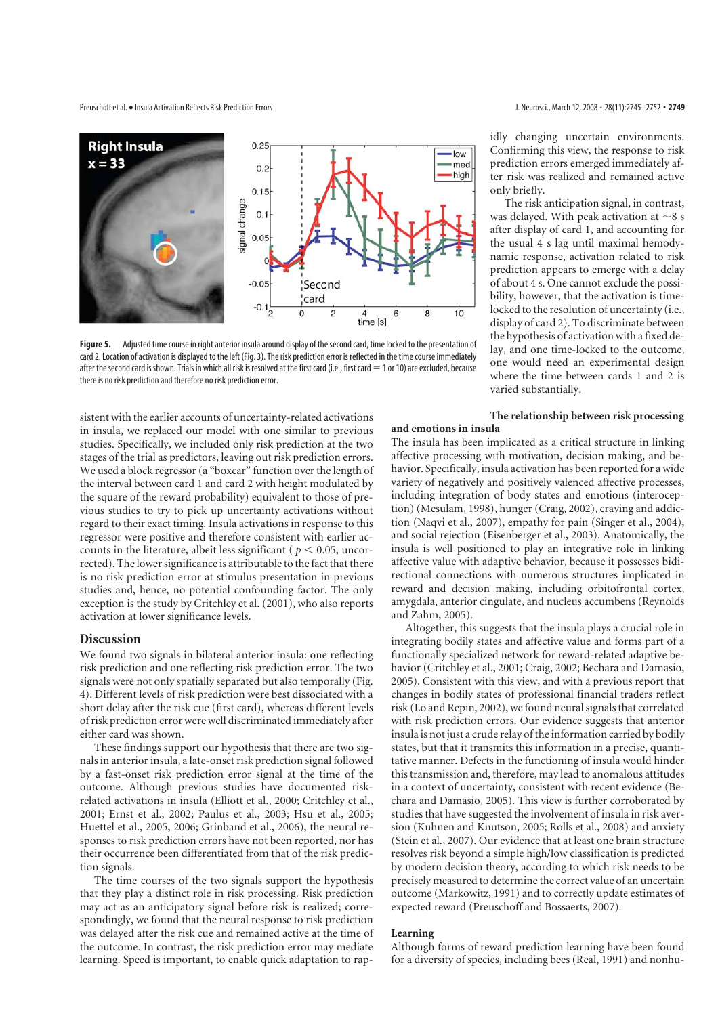

**Figure 5.** Adjusted time course in right anterior insula around display of the second card, time locked to the presentation of card 2. Location of activation is displayed to the left (Fig. 3). The risk prediction error is reflected in the time course immediately after the second card is shown. Trials in which all risk is resolved at the first card (i.e., first card  $= 1$  or 10) are excluded, because there is no risk prediction and therefore no risk prediction error.

sistent with the earlier accounts of uncertainty-related activations in insula, we replaced our model with one similar to previous studies. Specifically, we included only risk prediction at the two stages of the trial as predictors, leaving out risk prediction errors. We used a block regressor (a "boxcar" function over the length of the interval between card 1 and card 2 with height modulated by the square of the reward probability) equivalent to those of previous studies to try to pick up uncertainty activations without regard to their exact timing. Insula activations in response to this regressor were positive and therefore consistent with earlier accounts in the literature, albeit less significant ( $p < 0.05$ , uncorrected). The lower significance is attributable to the fact that there is no risk prediction error at stimulus presentation in previous studies and, hence, no potential confounding factor. The only exception is the study by Critchley et al. (2001), who also reports activation at lower significance levels.

# **Discussion**

We found two signals in bilateral anterior insula: one reflecting risk prediction and one reflecting risk prediction error. The two signals were not only spatially separated but also temporally (Fig. 4). Different levels of risk prediction were best dissociated with a short delay after the risk cue (first card), whereas different levels of risk prediction error were well discriminated immediately after either card was shown.

These findings support our hypothesis that there are two signals in anterior insula, a late-onset risk prediction signal followed by a fast-onset risk prediction error signal at the time of the outcome. Although previous studies have documented riskrelated activations in insula (Elliott et al., 2000; Critchley et al., 2001; Ernst et al., 2002; Paulus et al., 2003; Hsu et al., 2005; Huettel et al., 2005, 2006; Grinband et al., 2006), the neural responses to risk prediction errors have not been reported, nor has their occurrence been differentiated from that of the risk prediction signals.

The time courses of the two signals support the hypothesis that they play a distinct role in risk processing. Risk prediction may act as an anticipatory signal before risk is realized; correspondingly, we found that the neural response to risk prediction was delayed after the risk cue and remained active at the time of the outcome. In contrast, the risk prediction error may mediate learning. Speed is important, to enable quick adaptation to rapidly changing uncertain environments. Confirming this view, the response to risk prediction errors emerged immediately after risk was realized and remained active only briefly.

The risk anticipation signal, in contrast, was delayed. With peak activation at  $\sim$ 8 s after display of card 1, and accounting for the usual 4 s lag until maximal hemodynamic response, activation related to risk prediction appears to emerge with a delay of about 4 s. One cannot exclude the possibility, however, that the activation is timelocked to the resolution of uncertainty (i.e., display of card 2). To discriminate between the hypothesis of activation with a fixed delay, and one time-locked to the outcome, one would need an experimental design where the time between cards 1 and 2 is varied substantially.

#### **The relationship between risk processing and emotions in insula**

The insula has been implicated as a critical structure in linking affective processing with motivation, decision making, and behavior. Specifically, insula activation has been reported for a wide variety of negatively and positively valenced affective processes, including integration of body states and emotions (interoception) (Mesulam, 1998), hunger (Craig, 2002), craving and addiction (Naqvi et al., 2007), empathy for pain (Singer et al., 2004), and social rejection (Eisenberger et al., 2003). Anatomically, the insula is well positioned to play an integrative role in linking affective value with adaptive behavior, because it possesses bidirectional connections with numerous structures implicated in reward and decision making, including orbitofrontal cortex, amygdala, anterior cingulate, and nucleus accumbens (Reynolds and Zahm, 2005).

Altogether, this suggests that the insula plays a crucial role in integrating bodily states and affective value and forms part of a functionally specialized network for reward-related adaptive behavior (Critchley et al., 2001; Craig, 2002; Bechara and Damasio, 2005). Consistent with this view, and with a previous report that changes in bodily states of professional financial traders reflect risk (Lo and Repin, 2002), we found neural signals that correlated with risk prediction errors. Our evidence suggests that anterior insula is not just a crude relay of the information carried by bodily states, but that it transmits this information in a precise, quantitative manner. Defects in the functioning of insula would hinder this transmission and, therefore, may lead to anomalous attitudes in a context of uncertainty, consistent with recent evidence (Bechara and Damasio, 2005). This view is further corroborated by studies that have suggested the involvement of insula in risk aversion (Kuhnen and Knutson, 2005; Rolls et al., 2008) and anxiety (Stein et al., 2007). Our evidence that at least one brain structure resolves risk beyond a simple high/low classification is predicted by modern decision theory, according to which risk needs to be precisely measured to determine the correct value of an uncertain outcome (Markowitz, 1991) and to correctly update estimates of expected reward (Preuschoff and Bossaerts, 2007).

### **Learning**

Although forms of reward prediction learning have been found for a diversity of species, including bees (Real, 1991) and nonhu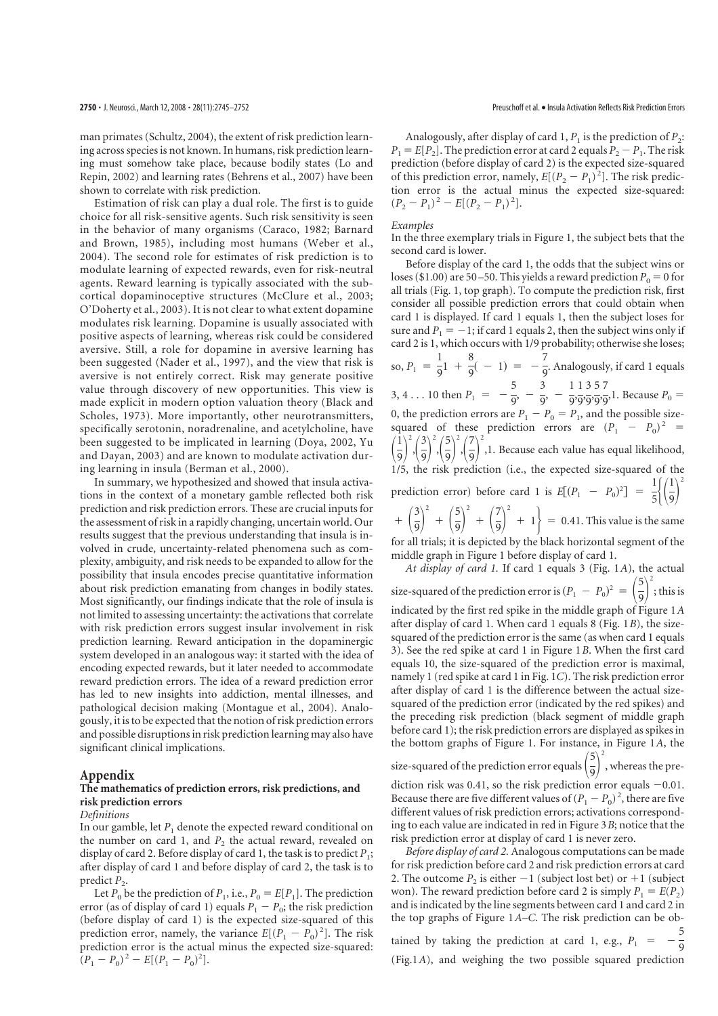man primates (Schultz, 2004), the extent of risk prediction learning across species is not known. In humans, risk prediction learning must somehow take place, because bodily states (Lo and Repin, 2002) and learning rates (Behrens et al., 2007) have been shown to correlate with risk prediction.

Estimation of risk can play a dual role. The first is to guide choice for all risk-sensitive agents. Such risk sensitivity is seen in the behavior of many organisms (Caraco, 1982; Barnard and Brown, 1985), including most humans (Weber et al., 2004). The second role for estimates of risk prediction is to modulate learning of expected rewards, even for risk-neutral agents. Reward learning is typically associated with the subcortical dopaminoceptive structures (McClure et al., 2003; O'Doherty et al., 2003). It is not clear to what extent dopamine modulates risk learning. Dopamine is usually associated with positive aspects of learning, whereas risk could be considered aversive. Still, a role for dopamine in aversive learning has been suggested (Nader et al., 1997), and the view that risk is aversive is not entirely correct. Risk may generate positive value through discovery of new opportunities. This view is made explicit in modern option valuation theory (Black and Scholes, 1973). More importantly, other neurotransmitters, specifically serotonin, noradrenaline, and acetylcholine, have been suggested to be implicated in learning (Doya, 2002, Yu and Dayan, 2003) and are known to modulate activation during learning in insula (Berman et al., 2000).

In summary, we hypothesized and showed that insula activations in the context of a monetary gamble reflected both risk prediction and risk prediction errors. These are crucial inputs for the assessment of risk in a rapidly changing, uncertain world. Our results suggest that the previous understanding that insula is involved in crude, uncertainty-related phenomena such as complexity, ambiguity, and risk needs to be expanded to allow for the possibility that insula encodes precise quantitative information about risk prediction emanating from changes in bodily states. Most significantly, our findings indicate that the role of insula is not limited to assessing uncertainty: the activations that correlate with risk prediction errors suggest insular involvement in risk prediction learning. Reward anticipation in the dopaminergic system developed in an analogous way: it started with the idea of encoding expected rewards, but it later needed to accommodate reward prediction errors. The idea of a reward prediction error has led to new insights into addiction, mental illnesses, and pathological decision making (Montague et al., 2004). Analogously, it is to be expected that the notion of risk prediction errors and possible disruptions in risk prediction learning may also have significant clinical implications.

#### **Appendix**

# **The mathematics of prediction errors, risk predictions, and risk prediction errors**

### *Definitions*

In our gamble, let  $P_1$  denote the expected reward conditional on the number on card 1, and  $P_2$  the actual reward, revealed on display of card 2. Before display of card 1, the task is to predict  $P_1$ ; after display of card 1 and before display of card 2, the task is to predict  $P_2$ .

Let  $P_0$  be the prediction of  $P_1$ , i.e.,  $P_0 = E[P_1]$ . The prediction error (as of display of card 1) equals  $P_1 - P_0$ ; the risk prediction (before display of card 1) is the expected size-squared of this prediction error, namely, the variance  $E[(P_1 - P_0)^2]$ . The risk prediction error is the actual minus the expected size-squared:  $(P_1 - P_0)^2 - E[(P_1 - P_0)^2].$ 

Analogously, after display of card 1,  $P_1$  is the prediction of  $P_2$ :  $P_1 = E[P_2]$ . The prediction error at card 2 equals  $P_2 - P_1$ . The risk prediction (before display of card 2) is the expected size-squared of this prediction error, namely,  $E[(P_2 - P_1)^2]$ . The risk prediction error is the actual minus the expected size-squared:  $(P_2 - P_1)^2 - E[(P_2 - P_1)^2].$ 

#### *Examples*

In the three exemplary trials in Figure 1, the subject bets that the second card is lower.

Before display of the card 1, the odds that the subject wins or loses (\$1.00) are 50–50. This yields a reward prediction  $P_0 = 0$  for all trials (Fig. 1, top graph). To compute the prediction risk, first consider all possible prediction errors that could obtain when card 1 is displayed. If card 1 equals 1, then the subject loses for sure and  $P_1 = -1$ ; if card 1 equals 2, then the subject wins only if card 2 is 1, which occurs with 1/9 probability; otherwise she loses; so,  $P_1 = \frac{1}{9}1 + \frac{8}{9}$  $\frac{8}{9}(-1) = -\frac{7}{9}$ . Analogously, if card 1 equals 3, 4 . . . 10 then  $P_1 = -\frac{5}{9}$ ,  $-\frac{3}{9}$ ,  $-\frac{11}{9}$  $\frac{1}{9}$ ,  $\frac{3}{9}$  $\frac{3}{9}$ ,  $\frac{5}{9}$  $\frac{5}{9}$ ,  $\frac{7}{9}$  $\frac{1}{9}$ , 1. Because  $P_0 =$ 0, the prediction errors are  $P_1 - P_0 = P_1$ , and the possible sizesquared of these prediction errors are  $(P_1 - P_0)^2$  =  $\left(\frac{1}{9}\right)^2, \left(\frac{3}{9}\right)^2, \left(\frac{5}{9}\right)^2, \left(\frac{7}{9}\right)^2$ ,1. Because each value has equal likelihood, 1/5, the risk prediction (i.e., the expected size-squared of the prediction error) before card 1 is  $E[(P_1 - P_0)^2] = \frac{1}{5} \left( \frac{1}{9} \right)^2$  $+\left(\frac{3}{9}\right)^2 + \left(\frac{5}{9}\right)^2 + \left(\frac{7}{9}\right)^2 + 1$  = 0.41. This value is the same for all trials; it is depicted by the black horizontal segment of the middle graph in Figure 1 before display of card 1. *At display of card 1.* If card 1 equals 3 (Fig. 1*A*), the actual

size-squared of the prediction error is  $(P_1 - P_0)^2 = \left(\frac{5}{9}\right)^2$ ; this is indicated by the first red spike in the middle graph of Figure 1*A* after display of card 1. When card 1 equals 8 (Fig. 1*B*), the sizesquared of the prediction error is the same (as when card 1 equals 3). See the red spike at card 1 in Figure 1*B*. When the first card equals 10, the size-squared of the prediction error is maximal, namely 1 (red spike at card 1 in Fig. 1*C*). The risk prediction error after display of card 1 is the difference between the actual sizesquared of the prediction error (indicated by the red spikes) and the preceding risk prediction (black segment of middle graph before card 1); the risk prediction errors are displayed as spikes in the bottom graphs of Figure 1. For instance, in Figure 1*A*, the

size-squared of the prediction error equals  $\left(\frac{5}{9}\right)^2$ , whereas the prediction risk was 0.41, so the risk prediction error equals  $-0.01$ . Because there are five different values of  $(P_1 - P_0)^2$ , there are five different values of risk prediction errors; activations corresponding to each value are indicated in red in Figure 3*B*; notice that the risk prediction error at display of card 1 is never zero.

*Before display of card 2.* Analogous computations can be made for risk prediction before card 2 and risk prediction errors at card 2. The outcome  $P_2$  is either  $-1$  (subject lost bet) or  $+1$  (subject won). The reward prediction before card 2 is simply  $P_1 = E(P_2)$ and is indicated by the line segments between card 1 and card 2 in the top graphs of Figure 1*A*–*C*. The risk prediction can be obtained by taking the prediction at card 1, e.g.,  $P_1 = -\frac{5}{9}$ (Fig.1*A*), and weighing the two possible squared prediction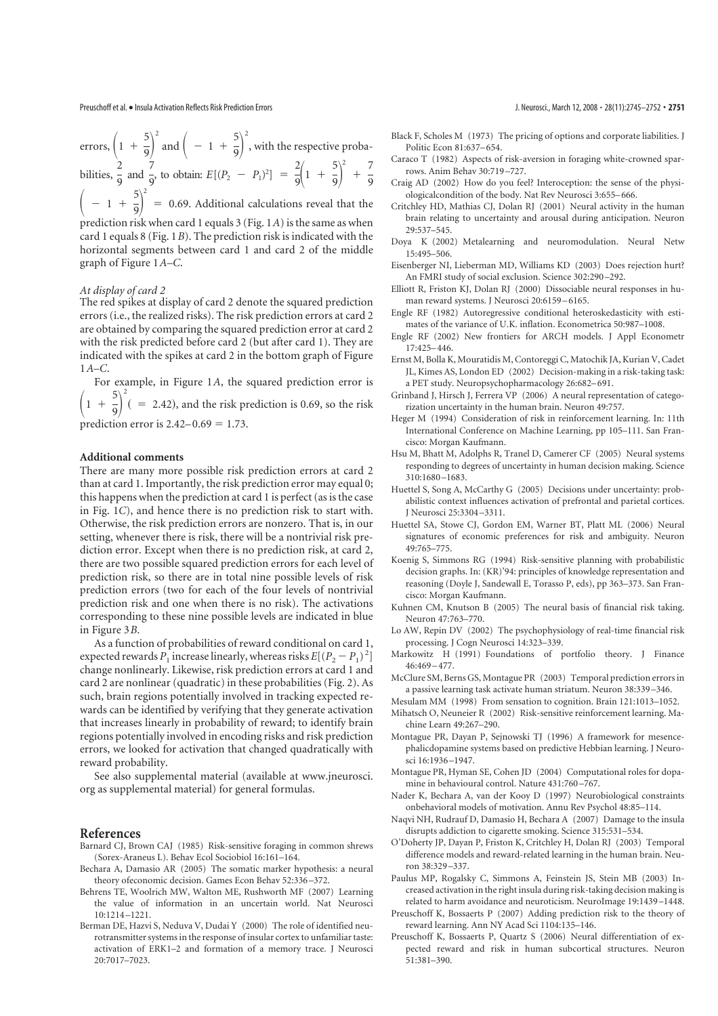Preuschoff et al. • Insula Activation Reflects Risk Prediction Errors **Franch 2.** Neurosci., March 12, 2008 • 28(11):2745–2752 • 2751

errors,  $\left(1 + \frac{5}{9}\right)^2$  and  $\left(-1 + \frac{5}{9}\right)^2$ , with the respective probabilities,  $\frac{2}{9}$  and  $\frac{7}{9}$  $\frac{7}{9}$ , to obtain:  $E[(P_2 - P_1)^2] = \frac{2}{9}\left(1 + \frac{5}{9}\right)$  $\left(\frac{5}{9}\right)^2$  $+\frac{7}{6}$  $\frac{9}{2}$  9<sup>2</sup>  $\frac{9}{2}$  9<sup>2</sup>  $\frac{9}{2}$  9<sup>2</sup> 9<sup>2</sup>

 $\Big(-1 + \frac{5}{9}\Big)$  $\left(\frac{5}{9}\right)^2$  = 0.69. Additional calculations reveal that the

prediction risk when card 1 equals 3 (Fig. 1*A*) is the same as when card 1 equals 8 (Fig. 1*B*). The prediction risk is indicated with the horizontal segments between card 1 and card 2 of the middle graph of Figure 1*A*–*C*.

#### *At display of card 2*

The red spikes at display of card 2 denote the squared prediction errors (i.e., the realized risks). The risk prediction errors at card 2 are obtained by comparing the squared prediction error at card 2 with the risk predicted before card 2 (but after card 1). They are indicated with the spikes at card 2 in the bottom graph of Figure 1*A*–*C*.

For example, in Figure 1*A*, the squared prediction error is  $\left(1 + \frac{5}{9}\right)^2$  $( = 2.42)$ , and the risk prediction is 0.69, so the risk

prediction error is  $2.42 - 0.69 = 1.73$ .

#### **Additional comments**

There are many more possible risk prediction errors at card 2 than at card 1. Importantly, the risk prediction error may equal 0; this happens when the prediction at card 1 is perfect (as is the case in Fig. 1*C*), and hence there is no prediction risk to start with. Otherwise, the risk prediction errors are nonzero. That is, in our setting, whenever there is risk, there will be a nontrivial risk prediction error. Except when there is no prediction risk, at card 2, there are two possible squared prediction errors for each level of prediction risk, so there are in total nine possible levels of risk prediction errors (two for each of the four levels of nontrivial prediction risk and one when there is no risk). The activations corresponding to these nine possible levels are indicated in blue in Figure 3*B*.

As a function of probabilities of reward conditional on card 1, expected rewards  $P_1$  increase linearly, whereas risks  $E[(P_2 - P_1)^2]$ change nonlinearly. Likewise, risk prediction errors at card 1 and card 2 are nonlinear (quadratic) in these probabilities (Fig. 2). As such, brain regions potentially involved in tracking expected rewards can be identified by verifying that they generate activation that increases linearly in probability of reward; to identify brain regions potentially involved in encoding risks and risk prediction errors, we looked for activation that changed quadratically with reward probability.

See also supplemental material (available at www.jneurosci. org as supplemental material) for general formulas.

#### **References**

- Barnard CJ, Brown CAJ (1985) Risk-sensitive foraging in common shrews (Sorex-Araneus L). Behav Ecol Sociobiol 16:161–164.
- Bechara A, Damasio AR (2005) The somatic marker hypothesis: a neural theory ofeconomic decision. Games Econ Behav 52:336 –372.
- Behrens TE, Woolrich MW, Walton ME, Rushworth MF (2007) Learning the value of information in an uncertain world. Nat Neurosci 10:1214 –1221.
- Berman DE, Hazvi S, Neduva V, Dudai Y (2000) The role of identified neurotransmitter systems in the response of insular cortex to unfamiliar taste: activation of ERK1–2 and formation of a memory trace. J Neurosci 20:7017–7023.
- Black F, Scholes M (1973) The pricing of options and corporate liabilities. J Politic Econ 81:637– 654.
- Caraco T (1982) Aspects of risk-aversion in foraging white-crowned sparrows. Anim Behav 30:719 –727.
- Craig AD (2002) How do you feel? Interoception: the sense of the physiologicalcondition of the body. Nat Rev Neurosci 3:655– 666.
- Critchley HD, Mathias CJ, Dolan RJ (2001) Neural activity in the human brain relating to uncertainty and arousal during anticipation. Neuron 29:537–545.
- Doya K (2002) Metalearning and neuromodulation. Neural Netw 15:495–506.
- Eisenberger NI, Lieberman MD, Williams KD (2003) Does rejection hurt? An FMRI study of social exclusion. Science 302:290 –292.
- Elliott R, Friston KJ, Dolan RJ (2000) Dissociable neural responses in human reward systems. J Neurosci 20:6159 – 6165.
- Engle RF (1982) Autoregressive conditional heteroskedasticity with estimates of the variance of U.K. inflation. Econometrica 50:987–1008.
- Engle RF (2002) New frontiers for ARCH models. J Appl Econometr 17:425– 446.
- Ernst M, Bolla K, Mouratidis M, Contoreggi C, Matochik JA, Kurian V, Cadet JL, Kimes AS, London ED (2002) Decision-making in a risk-taking task: a PET study. Neuropsychopharmacology 26:682– 691.
- Grinband J, Hirsch J, Ferrera VP (2006) A neural representation of categorization uncertainty in the human brain. Neuron 49:757.
- Heger M (1994) Consideration of risk in reinforcement learning. In: 11th International Conference on Machine Learning, pp 105–111. San Francisco: Morgan Kaufmann.
- Hsu M, Bhatt M, Adolphs R, Tranel D, Camerer CF (2005) Neural systems responding to degrees of uncertainty in human decision making. Science 310:1680 –1683.
- Huettel S, Song A, McCarthy G (2005) Decisions under uncertainty: probabilistic context influences activation of prefrontal and parietal cortices. J Neurosci 25:3304 –3311.
- Huettel SA, Stowe CJ, Gordon EM, Warner BT, Platt ML (2006) Neural signatures of economic preferences for risk and ambiguity. Neuron 49:765–775.
- Koenig S, Simmons RG (1994) Risk-sensitive planning with probabilistic decision graphs. In: (KR)'94: principles of knowledge representation and reasoning (Doyle J, Sandewall E, Torasso P, eds), pp 363–373. San Francisco: Morgan Kaufmann.
- Kuhnen CM, Knutson B (2005) The neural basis of financial risk taking. Neuron 47:763–770.
- Lo AW, Repin DV (2002) The psychophysiology of real-time financial risk processing. J Cogn Neurosci 14:323–339.
- Markowitz H (1991) Foundations of portfolio theory. J Finance 46:469 – 477.
- McClure SM, Berns GS, Montague PR (2003) Temporal prediction errors in a passive learning task activate human striatum. Neuron 38:339 –346.
- Mesulam MM (1998) From sensation to cognition. Brain 121:1013–1052.
- Mihatsch O, Neuneier R (2002) Risk-sensitive reinforcement learning. Machine Learn 49:267–290.
- Montague PR, Dayan P, Sejnowski TJ (1996) A framework for mesencephalicdopamine systems based on predictive Hebbian learning. J Neurosci 16:1936 –1947.
- Montague PR, Hyman SE, Cohen JD (2004) Computational roles for dopamine in behavioural control. Nature 431:760 –767.
- Nader K, Bechara A, van der Kooy D (1997) Neurobiological constraints onbehavioral models of motivation. Annu Rev Psychol 48:85–114.
- Naqvi NH, Rudrauf D, Damasio H, Bechara A (2007) Damage to the insula disrupts addiction to cigarette smoking. Science 315:531–534.
- O'Doherty JP, Dayan P, Friston K, Critchley H, Dolan RJ (2003) Temporal difference models and reward-related learning in the human brain. Neuron 38:329 –337.
- Paulus MP, Rogalsky C, Simmons A, Feinstein JS, Stein MB (2003) Increased activation in the right insula during risk-taking decision making is related to harm avoidance and neuroticism. NeuroImage 19:1439 –1448.
- Preuschoff K, Bossaerts P (2007) Adding prediction risk to the theory of reward learning. Ann NY Acad Sci 1104:135–146.
- Preuschoff K, Bossaerts P, Quartz S (2006) Neural differentiation of expected reward and risk in human subcortical structures. Neuron 51:381–390.